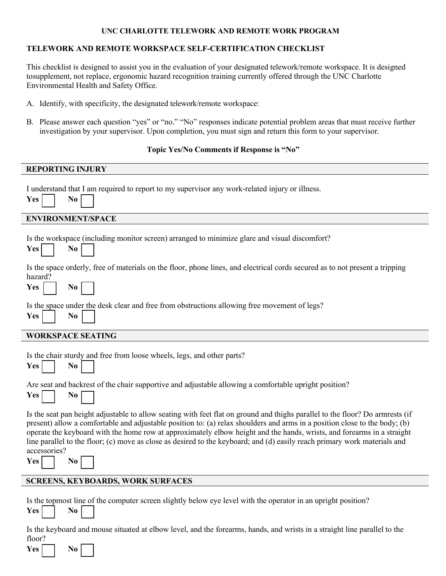# **UNC CHARLOTTE TELEWORK AND REMOTE WORK PROGRAM**

# **TELEWORK AND REMOTE WORKSPACE SELF-CERTIFICATION CHECKLIST**

This checklist is designed to assist you in the evaluation of your designated telework/remote workspace. It is designed tosupplement, not replace, ergonomic hazard recognition training currently offered through the UNC Charlotte Environmental Health and Safety Office.

- A. Identify, with specificity, the designated telework/remote workspace:
- B. Please answer each question "yes" or "no." "No" responses indicate potential problem areas that must receive further investigation by your supervisor. Upon completion, you must sign and return this form to your supervisor.

#### **Topic Yes/No Comments if Response is "No"**

#### **REPORTING INJURY**

I understand that I am required to report to my supervisor any work-related injury or illness.

| Yes: |  | No |  |
|------|--|----|--|
|------|--|----|--|

#### **ENVIRONMENT/SPACE**

|  | Is the workspace (including monitor screen) arranged to minimize glare and visual discomfort? |
|--|-----------------------------------------------------------------------------------------------|
|  |                                                                                               |

| <b>Yes</b> |  | No |  |
|------------|--|----|--|
|------------|--|----|--|

Is the space orderly, free of materials on the floor, phone lines, and electrical cords secured as to not present a tripping  $h_{\alpha\alpha\alpha}d\overline{2}$ 

| паланн |    |  |
|--------|----|--|
| - -    | N™ |  |

Is the space under the desk clear and free from obstructions allowing free movement of legs?

| Y<br>РS | No |  |
|---------|----|--|

### **WORKSPACE SEATING**

|  |  |  |  | Is the chair sturdy and free from loose wheels, legs, and other parts? |  |  |
|--|--|--|--|------------------------------------------------------------------------|--|--|
|  |  |  |  |                                                                        |  |  |

|  | `N<br>N<br>$\overline{\phantom{a}}$ |  |  |
|--|-------------------------------------|--|--|
|--|-------------------------------------|--|--|

Are seat and backrest of the chair supportive and adjustable allowing a comfortable upright position?

| Yes. |  | No. |  |
|------|--|-----|--|
|------|--|-----|--|

 $Yes$ 

Is the seat pan height adjustable to allow seating with feet flat on ground and thighs parallel to the floor? Do armrests (if present) allow a comfortable and adjustable position to: (a) relax shoulders and arms in a position close to the body; (b) operate the keyboard with the home row at approximately elbow height and the hands, wrists, and forearms in a straight line parallel to the floor; (c) move as close as desired to the keyboard; and (d) easily reach primary work materials and accessories?

**Yes**  $\vert$  **No** 

# **SCREENS, KEYBOARDS, WORK SURFACES**

Is the topmost line of the computer screen slightly below eye level with the operator in an upright position?

| Yes |  | No. |  |
|-----|--|-----|--|
|-----|--|-----|--|

Is the keyboard and mouse situated at elbow level, and the forearms, hands, and wrists in a straight line parallel to the floor?

| Yes.<br>N0 |  |  |  |  |
|------------|--|--|--|--|
|------------|--|--|--|--|